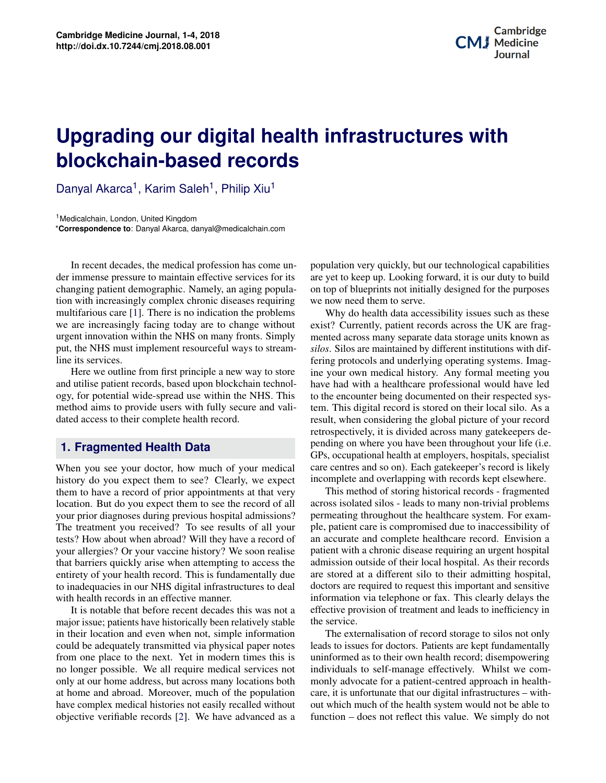# **Potential Applications of Three-dimensional Bioprinting in Regenerative Medicine blockchain-based records Upgrading our digital health infrastructures with**

Danyal Akarca<sup>1</sup>, Karim Saleh<sup>1</sup>, Philip Xiu<sup>1</sup>

<sup>1</sup>Medicalchain, London, United Kingdom \***Correspondence to**: Danyal Akarca, danyal@medicalchain.com

In recent decades, the medical profession has come under immense pressure to maintain effective services for its changing patient demographic. Namely, an aging population with increasingly complex chronic diseases requiring multifarious care [\[1\]](#page-2-0). There is no indication the problems we are increasingly facing today are to change without urgent innovation within the NHS on many fronts. Simply put, the NHS must implement resourceful ways to streamline its services.

Here we outline from first principle a new way to store and utilise patient records, based upon blockchain technology, for potential wide-spread use within the NHS. This method aims to provide users with fully secure and validated access to their complete health record.

#### **1. Fragmented Health Data**

**Contents** with health records in an effective manner. When you see your doctor, how much of your medical history do you expect them to see? Clearly, we expect them to have a record of prior appointments at that very location. But do you expect them to see the record of all your prior diagnoses during previous hospital admissions? The treatment you received? To see results of all your tests? How about when abroad? Will they have a record of your allergies? Or your vaccine history? We soon realise that barriers quickly arise when attempting to access the entirety of your health record. This is fundamentally due to inadequacies in our NHS digital infrastructures to deal

**1 Background 1** major issue; patients have historically been relatively stable in their location and even when not, simple information **3 Principal Contract of Application 2 Principal Contract of Application 2 Principal Contract of Bioprinting 2 Principal Contract of Bioprinting 2 Principal Contract of Bioprinting 2 Principal Contrac 4 Discussion 3** no longer possible. We all require medical services not at both and abroad. Moreover, much of the population at home and abroad. Moreover, much of the population have complex medical histories not easily recalled without **b**jective verifiable records [\[2\]](#page-2-1). We have advanced as a It is notable that before recent decades this was not a could be adequately transmitted via physical paper notes only at our home address, but across many locations both

population very quickly, but our technological capabilities are yet to keep up. Looking forward, it is our duty to build on top of blueprints not initially designed for the purposes we now need them to serve.

possues such as these<br>pross the UK are frag-<br>torage units known as bio<br>Imag-<br> $\frac{\sigma}{\sigma}$  You Why do health data accessibility issues such as these exist? Currently, patient records across the UK are fragmented across many separate data storage units known as *silos*. Silos are maintained by different institutions with differing protocols and underlying operating systems. Imagine your own medical history. Any formal meeting you have had with a healthcare professional would have led to the encounter being documented on their respected system. This digital record is stored on their local silo. As a result, when considering the global picture of your record retrospectively, it is divided across many gatekeepers depending on where you have been throughout your life (i.e. GPs, occupational health at employers, hospitals, specialist care centres and so on). Each gatekeeper's record is likely incomplete and overlapping with records kept elsewhere.

permeating an oughout the heathleare system. For exam-<br>ple, patient care is compromised due to inaccessibility of admission outside of their local hospital. As their records rel and *a The Charles Charles Charles Lindbergh publication*<br> *Codeal* doctors are required to request this important and sensitive<br> *Culture of Organs* in the electron of  $\sigma$ . This closely delays the information via telephone or fax. This clearly delays the<br>official methods which may be a factor of the *in the in the interior*  $\sum_{i=1}^{\infty}$  organisation of the book mentions and  $\sum_{i=1}^{\infty}$ and methods which made the *inclusion* of treatment and leads to inefficiency in possible. The final chapter of the book mentions an 'ultimate the service. This method of storing historical records - fragmented across isolated silos - leads to many non-trivial problems permeating throughout the healthcare system. For examan accurate and complete healthcare record. Envision a patient with a chronic disease requiring an urgent hospital are stored at a different silo to their admitting hospital,

nation The externalisation of record storage to silos not only this is uninformed as to their own health record; disempowering effectively. Whilst we com-<br>t-centred approach in healthcare, it is unfortunate that our digital infrastructures – withfunction in the process space to several famous models when the term is value. We simply do not do as a function – does not reflect this value. We simply do not notes leads to issues for doctors. Patients are kept fundamentally es not individuals to self-manage effectively. Whilst we coms both monly advocate for a patient-centred approach in health-<br>https://www.it.is.urfortunate.thet.our.digital.irfractrustures... with this technology have led to see the second factor of the health system would not be able to medicine, bioprinting is beginning to play a role in regener-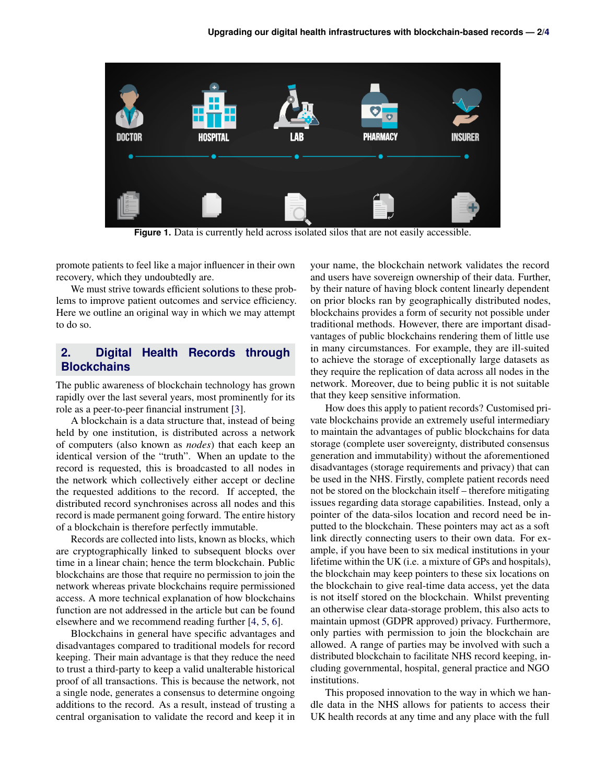

**Figure 1.** Data is currently held across isolated silos that are not easily accessible.

promote patients to feel like a major influencer in their own recovery, which they undoubtedly are.

We must strive towards efficient solutions to these problems to improve patient outcomes and service efficiency. Here we outline an original way in which we may attempt to do so.

## **2. Digital Health Records through Blockchains**

The public awareness of blockchain technology has grown rapidly over the last several years, most prominently for its role as a peer-to-peer financial instrument [\[3\]](#page-2-2).

A blockchain is a data structure that, instead of being held by one institution, is distributed across a network of computers (also known as *nodes*) that each keep an identical version of the "truth". When an update to the record is requested, this is broadcasted to all nodes in the network which collectively either accept or decline the requested additions to the record. If accepted, the distributed record synchronises across all nodes and this record is made permanent going forward. The entire history of a blockchain is therefore perfectly immutable.

Records are collected into lists, known as blocks, which are cryptographically linked to subsequent blocks over time in a linear chain; hence the term blockchain. Public blockchains are those that require no permission to join the network whereas private blockchains require permissioned access. A more technical explanation of how blockchains function are not addressed in the article but can be found elsewhere and we recommend reading further [\[4,](#page-2-3) [5,](#page-3-1) [6\]](#page-3-2).

Blockchains in general have specific advantages and disadvantages compared to traditional models for record keeping. Their main advantage is that they reduce the need to trust a third-party to keep a valid unalterable historical proof of all transactions. This is because the network, not a single node, generates a consensus to determine ongoing additions to the record. As a result, instead of trusting a central organisation to validate the record and keep it in

your name, the blockchain network validates the record and users have sovereign ownership of their data. Further, by their nature of having block content linearly dependent on prior blocks ran by geographically distributed nodes, blockchains provides a form of security not possible under traditional methods. However, there are important disadvantages of public blockchains rendering them of little use in many circumstances. For example, they are ill-suited to achieve the storage of exceptionally large datasets as they require the replication of data across all nodes in the network. Moreover, due to being public it is not suitable that they keep sensitive information.

How does this apply to patient records? Customised private blockchains provide an extremely useful intermediary to maintain the advantages of public blockchains for data storage (complete user sovereignty, distributed consensus generation and immutability) without the aforementioned disadvantages (storage requirements and privacy) that can be used in the NHS. Firstly, complete patient records need not be stored on the blockchain itself – therefore mitigating issues regarding data storage capabilities. Instead, only a pointer of the data-silos location and record need be inputted to the blockchain. These pointers may act as a soft link directly connecting users to their own data. For example, if you have been to six medical institutions in your lifetime within the UK (i.e. a mixture of GPs and hospitals), the blockchain may keep pointers to these six locations on the blockchain to give real-time data access, yet the data is not itself stored on the blockchain. Whilst preventing an otherwise clear data-storage problem, this also acts to maintain upmost (GDPR approved) privacy. Furthermore, only parties with permission to join the blockchain are allowed. A range of parties may be involved with such a distributed blockchain to facilitate NHS record keeping, including governmental, hospital, general practice and NGO institutions.

This proposed innovation to the way in which we handle data in the NHS allows for patients to access their UK health records at any time and any place with the full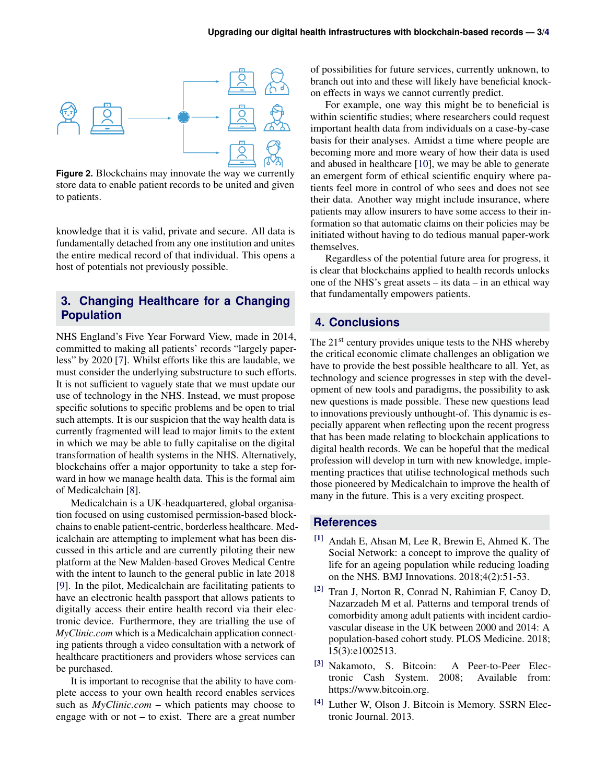

**Figure 2.** Blockchains may innovate the way we currently store data to enable patient records to be united and given to patients.

knowledge that it is valid, private and secure. All data is fundamentally detached from any one institution and unites the entire medical record of that individual. This opens a host of potentials not previously possible.

## **3. Changing Healthcare for a Changing Population**

NHS England's Five Year Forward View, made in 2014, committed to making all patients' records "largely paperless" by 2020 [\[7\]](#page-3-3). Whilst efforts like this are laudable, we must consider the underlying substructure to such efforts. It is not sufficient to vaguely state that we must update our use of technology in the NHS. Instead, we must propose specific solutions to specific problems and be open to trial such attempts. It is our suspicion that the way health data is currently fragmented will lead to major limits to the extent in which we may be able to fully capitalise on the digital transformation of health systems in the NHS. Alternatively, blockchains offer a major opportunity to take a step forward in how we manage health data. This is the formal aim of Medicalchain [\[8\]](#page-3-4).

Medicalchain is a UK-headquartered, global organisation focused on using customised permission-based blockchains to enable patient-centric, borderless healthcare. Medicalchain are attempting to implement what has been discussed in this article and are currently piloting their new platform at the New Malden-based Groves Medical Centre with the intent to launch to the general public in late 2018 [\[9\]](#page-3-5). In the pilot, Medicalchain are facilitating patients to have an electronic health passport that allows patients to digitally access their entire health record via their electronic device. Furthermore, they are trialling the use of *MyClinic.com* which is a Medicalchain application connecting patients through a video consultation with a network of healthcare practitioners and providers whose services can be purchased.

It is important to recognise that the ability to have complete access to your own health record enables services such as *MyClinic.com* – which patients may choose to engage with or not – to exist. There are a great number

of possibilities for future services, currently unknown, to branch out into and these will likely have beneficial knockon effects in ways we cannot currently predict.

For example, one way this might be to beneficial is within scientific studies; where researchers could request important health data from individuals on a case-by-case basis for their analyses. Amidst a time where people are becoming more and more weary of how their data is used and abused in healthcare [\[10\]](#page-3-6), we may be able to generate an emergent form of ethical scientific enquiry where patients feel more in control of who sees and does not see their data. Another way might include insurance, where patients may allow insurers to have some access to their information so that automatic claims on their policies may be initiated without having to do tedious manual paper-work themselves.

Regardless of the potential future area for progress, it is clear that blockchains applied to health records unlocks one of the NHS's great assets – its data – in an ethical way that fundamentally empowers patients.

#### **4. Conclusions**

The 21<sup>st</sup> century provides unique tests to the NHS whereby the critical economic climate challenges an obligation we have to provide the best possible healthcare to all. Yet, as technology and science progresses in step with the development of new tools and paradigms, the possibility to ask new questions is made possible. These new questions lead to innovations previously unthought-of. This dynamic is especially apparent when reflecting upon the recent progress that has been made relating to blockchain applications to digital health records. We can be hopeful that the medical profession will develop in turn with new knowledge, implementing practices that utilise technological methods such those pioneered by Medicalchain to improve the health of many in the future. This is a very exciting prospect.

#### **References**

- <span id="page-2-0"></span>[1] Andah E, Ahsan M, Lee R, Brewin E, Ahmed K. The Social Network: a concept to improve the quality of life for an ageing population while reducing loading on the NHS. BMJ Innovations. 2018;4(2):51-53.
- <span id="page-2-1"></span>[2] Tran J, Norton R, Conrad N, Rahimian F, Canoy D, Nazarzadeh M et al. Patterns and temporal trends of comorbidity among adult patients with incident cardiovascular disease in the UK between 2000 and 2014: A population-based cohort study. PLOS Medicine. 2018; 15(3):e1002513.
- <span id="page-2-2"></span>[3] Nakamoto, S. Bitcoin: A Peer-to-Peer Electronic Cash System. 2008; Available from: https://www.bitcoin.org.
- <span id="page-2-3"></span>[4] Luther W, Olson J. Bitcoin is Memory. SSRN Electronic Journal. 2013.